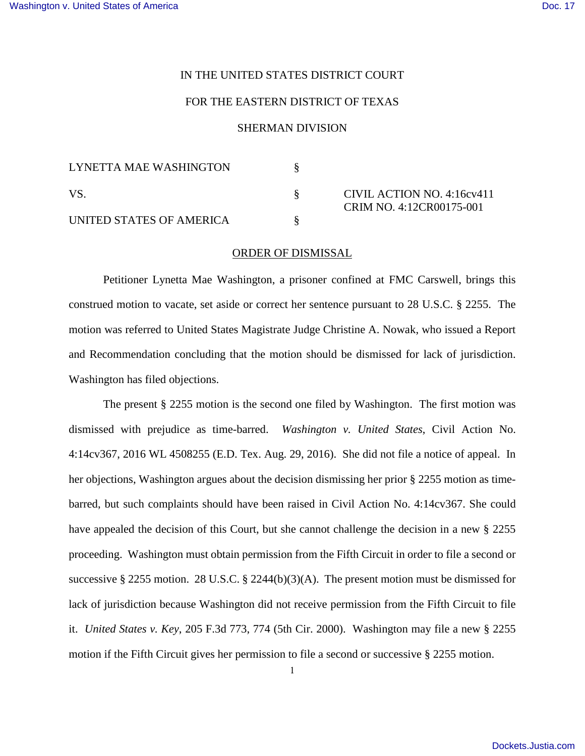## IN THE UNITED STATES DISTRICT COURT

## FOR THE EASTERN DISTRICT OF TEXAS

## SHERMAN DIVISION

| LYNETTA MAE WASHINGTON   |                                                        |
|--------------------------|--------------------------------------------------------|
| VS.                      | CIVIL ACTION NO. 4:16cv411<br>CRIM NO. 4:12CR00175-001 |
| UNITED STATES OF AMERICA |                                                        |

## ORDER OF DISMISSAL

Petitioner Lynetta Mae Washington, a prisoner confined at FMC Carswell, brings this construed motion to vacate, set aside or correct her sentence pursuant to 28 U.S.C. § 2255. The motion was referred to United States Magistrate Judge Christine A. Nowak, who issued a Report and Recommendation concluding that the motion should be dismissed for lack of jurisdiction. Washington has filed objections.

The present § 2255 motion is the second one filed by Washington. The first motion was dismissed with prejudice as time-barred. *Washington v. United States*, Civil Action No. 4:14cv367, 2016 WL 4508255 (E.D. Tex. Aug. 29, 2016). She did not file a notice of appeal. In her objections, Washington argues about the decision dismissing her prior § 2255 motion as timebarred, but such complaints should have been raised in Civil Action No. 4:14cv367. She could have appealed the decision of this Court, but she cannot challenge the decision in a new § 2255 proceeding. Washington must obtain permission from the Fifth Circuit in order to file a second or successive § 2255 motion. 28 U.S.C. § 2244(b)(3)(A). The present motion must be dismissed for lack of jurisdiction because Washington did not receive permission from the Fifth Circuit to file it. *United States v. Key*, 205 F.3d 773, 774 (5th Cir. 2000). Washington may file a new § 2255 motion if the Fifth Circuit gives her permission to file a second or successive § 2255 motion.